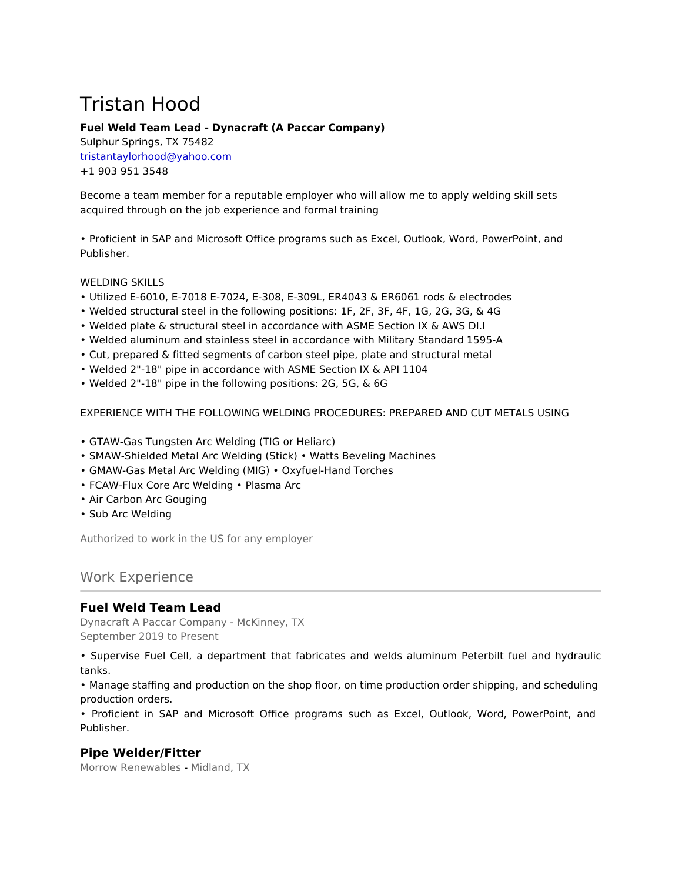# Tristan Hood

## **Fuel Weld Team Lead - Dynacraft (A Paccar Company)**

Sulphur Springs, TX 75482 tristantaylorhood@yahoo.com +1 903 951 3548

Become a team member for a reputable employer who will allow me to apply welding skill sets acquired through on the job experience and formal training

• Proficient in SAP and Microsoft Office programs such as Excel, Outlook, Word, PowerPoint, and Publisher.

WELDING SKILLS

- Utilized E-6010, E-7018 E-7024, E-308, E-309L, ER4043 & ER6061 rods & electrodes
- Welded structural steel in the following positions: 1F, 2F, 3F, 4F, 1G, 2G, 3G, & 4G
- Welded plate & structural steel in accordance with ASME Section IX & AWS DI.I
- Welded aluminum and stainless steel in accordance with Military Standard 1595-A
- Cut, prepared & fitted segments of carbon steel pipe, plate and structural metal
- Welded 2"-18" pipe in accordance with ASME Section IX & API 1104
- Welded 2"-18" pipe in the following positions: 2G, 5G, & 6G

EXPERIENCE WITH THE FOLLOWING WELDING PROCEDURES: PREPARED AND CUT METALS USING

- GTAW-Gas Tungsten Arc Welding (TIG or Heliarc)
- SMAW-Shielded Metal Arc Welding (Stick) Watts Beveling Machines
- GMAW-Gas Metal Arc Welding (MIG) Oxyfuel-Hand Torches
- FCAW-Flux Core Arc Welding Plasma Arc
- Air Carbon Arc Gouging
- Sub Arc Welding

Authorized to work in the US for any employer

# Work Experience

## **Fuel Weld Team Lead**

Dynacraft A Paccar Company - McKinney, TX September 2019 to Present

• Supervise Fuel Cell, a department that fabricates and welds aluminum Peterbilt fuel and hydraulic tanks.

• Manage staffing and production on the shop floor, on time production order shipping, and scheduling production orders.

• Proficient in SAP and Microsoft Office programs such as Excel, Outlook, Word, PowerPoint, and Publisher.

## **Pipe Welder/Fitter**

Morrow Renewables - Midland, TX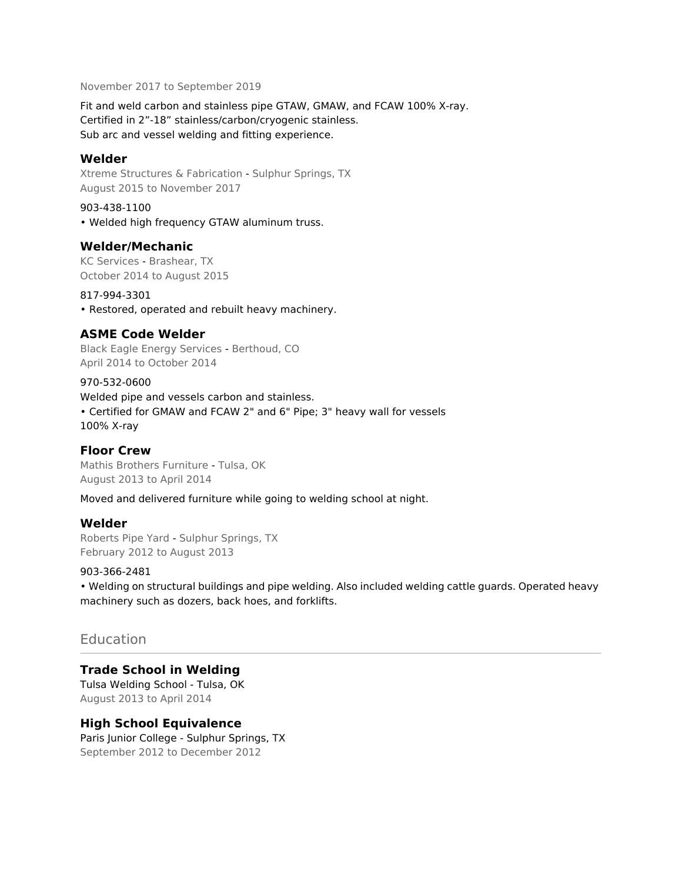November 2017 to September 2019

Fit and weld carbon and stainless pipe GTAW, GMAW, and FCAW 100% X-ray. Certified in 2"-18" stainless/carbon/cryogenic stainless. Sub arc and vessel welding and fitting experience.

### **Welder**

Xtreme Structures & Fabrication - Sulphur Springs, TX August 2015 to November 2017

903-438-1100 • Welded high frequency GTAW aluminum truss.

#### **Welder/Mechanic**

KC Services - Brashear, TX October 2014 to August 2015

#### 817-994-3301

• Restored, operated and rebuilt heavy machinery.

## **ASME Code Welder**

Black Eagle Energy Services - Berthoud, CO April 2014 to October 2014

970-532-0600

Welded pipe and vessels carbon and stainless. • Certified for GMAW and FCAW 2" and 6" Pipe; 3" heavy wall for vessels 100% X-ray

## **Floor Crew**

Mathis Brothers Furniture - Tulsa, OK August 2013 to April 2014

Moved and delivered furniture while going to welding school at night.

#### **Welder**

Roberts Pipe Yard - Sulphur Springs, TX February 2012 to August 2013

#### 903-366-2481

• Welding on structural buildings and pipe welding. Also included welding cattle guards. Operated heavy machinery such as dozers, back hoes, and forklifts.

## **Education**

#### **Trade School in Welding**

Tulsa Welding School - Tulsa, OK August 2013 to April 2014

#### **High School Equivalence**

Paris Junior College - Sulphur Springs, TX September 2012 to December 2012